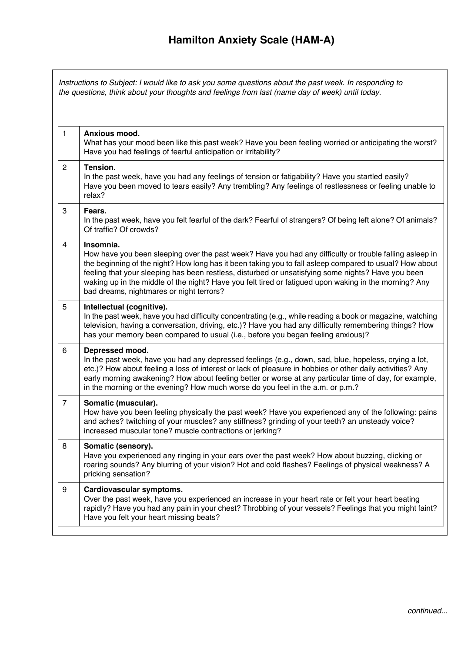## **Hamilton Anxiety Scale (HAM-A)**

1 **Anxious mood.** What has your mood been like this past week? Have you been feeling worried or anticipating the worst? Have you had feelings of fearful anticipation or irritability? 2 **Tension**. In the past week, have you had any feelings of tension or fatigability? Have you startled easily? Have you been moved to tears easily? Any trembling? Any feelings of restlessness or feeling unable to relax? 3 **Fears.** In the past week, have you felt fearful of the dark? Fearful of strangers? Of being left alone? Of animals? Of traffic? Of crowds? 4 **Insomnia.** How have you been sleeping over the past week? Have you had any difficulty or trouble falling asleep in the beginning of the night? How long has it been taking you to fall asleep compared to usual? How about feeling that your sleeping has been restless, disturbed or unsatisfying some nights? Have you been waking up in the middle of the night? Have you felt tired or fatigued upon waking in the morning? Any bad dreams, nightmares or night terrors? 5 **Intellectual (cognitive).** In the past week, have you had difficulty concentrating (e.g., while reading a book or magazine, watching television, having a conversation, driving, etc.)? Have you had any difficulty remembering things? How has your memory been compared to usual (i.e., before you began feeling anxious)? 6 **Depressed mood.** In the past week, have you had any depressed feelings (e.g., down, sad, blue, hopeless, crying a lot, etc.)? How about feeling a loss of interest or lack of pleasure in hobbies or other daily activities? Any early morning awakening? How about feeling better or worse at any particular time of day, for example, in the morning or the evening? How much worse do you feel in the a.m. or p.m.? 7 **Somatic (muscular).** How have you been feeling physically the past week? Have you experienced any of the following: pains and aches? twitching of your muscles? any stiffness? grinding of your teeth? an unsteady voice? increased muscular tone? muscle contractions or jerking? 8 **Somatic (sensory).** Have you experienced any ringing in your ears over the past week? How about buzzing, clicking or roaring sounds? Any blurring of your vision? Hot and cold flashes? Feelings of physical weakness? A pricking sensation? 9 **Cardiovascular symptoms.** Over the past week, have you experienced an increase in your heart rate or felt your heart beating rapidly? Have you had any pain in your chest? Throbbing of your vessels? Feelings that you might faint? Have you felt your heart missing beats? *Instructions to Subject: I would like to ask you some questions about the past week. In responding to the questions, think about your thoughts and feelings from last (name day of week) until today.*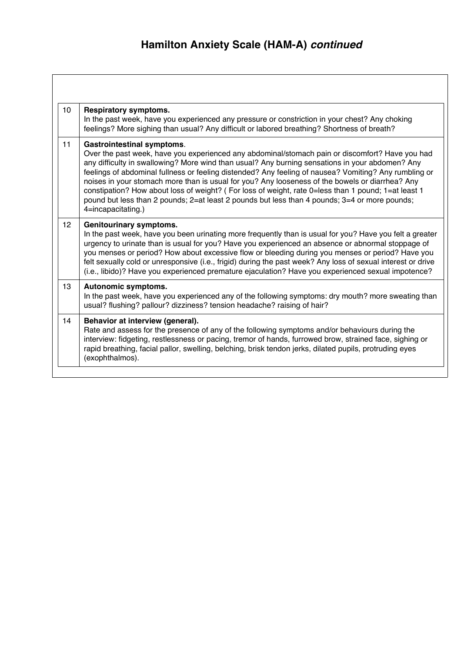| 10 <sup>°</sup> | <b>Respiratory symptoms.</b><br>In the past week, have you experienced any pressure or constriction in your chest? Any choking<br>feelings? More sighing than usual? Any difficult or labored breathing? Shortness of breath?                                                                                                                                                                                                                                                                                                                                                                                                                                                     |  |  |  |  |  |
|-----------------|-----------------------------------------------------------------------------------------------------------------------------------------------------------------------------------------------------------------------------------------------------------------------------------------------------------------------------------------------------------------------------------------------------------------------------------------------------------------------------------------------------------------------------------------------------------------------------------------------------------------------------------------------------------------------------------|--|--|--|--|--|
| 11              | <b>Gastrointestinal symptoms.</b><br>Over the past week, have you experienced any abdominal/stomach pain or discomfort? Have you had<br>any difficulty in swallowing? More wind than usual? Any burning sensations in your abdomen? Any<br>feelings of abdominal fullness or feeling distended? Any feeling of nausea? Vomiting? Any rumbling or<br>noises in your stomach more than is usual for you? Any looseness of the bowels or diarrhea? Any<br>constipation? How about loss of weight? (For loss of weight, rate 0=less than 1 pound; 1=at least 1<br>pound but less than 2 pounds; 2=at least 2 pounds but less than 4 pounds; 3=4 or more pounds;<br>4=incapacitating.) |  |  |  |  |  |
| 12 <sup>2</sup> | <b>Genitourinary symptoms.</b><br>In the past week, have you been urinating more frequently than is usual for you? Have you felt a greater<br>urgency to urinate than is usual for you? Have you experienced an absence or abnormal stoppage of<br>you menses or period? How about excessive flow or bleeding during you menses or period? Have you<br>felt sexually cold or unresponsive (i.e., frigid) during the past week? Any loss of sexual interest or drive<br>(i.e., libido)? Have you experienced premature ejaculation? Have you experienced sexual impotence?                                                                                                         |  |  |  |  |  |
| 13              | Autonomic symptoms.<br>In the past week, have you experienced any of the following symptoms: dry mouth? more sweating than<br>usual? flushing? pallour? dizziness? tension headache? raising of hair?                                                                                                                                                                                                                                                                                                                                                                                                                                                                             |  |  |  |  |  |
| 14              | Behavior at interview (general).<br>Rate and assess for the presence of any of the following symptoms and/or behaviours during the<br>interview: fidgeting, restlessness or pacing, tremor of hands, furrowed brow, strained face, sighing or<br>rapid breathing, facial pallor, swelling, belching, brisk tendon jerks, dilated pupils, protruding eyes<br>(exophthalmos).                                                                                                                                                                                                                                                                                                       |  |  |  |  |  |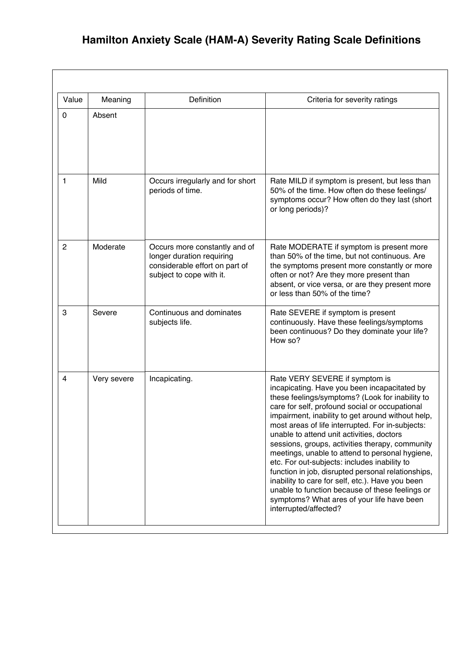## **Hamilton Anxiety Scale (HAM-A) Severity Rating Scale Definitions**

| Value          | Meaning     | Definition                                                                                                               | Criteria for severity ratings                                                                                                                                                                                                                                                                                                                                                                                                                                                                                                                                                                                                                                                                                                       |  |  |  |
|----------------|-------------|--------------------------------------------------------------------------------------------------------------------------|-------------------------------------------------------------------------------------------------------------------------------------------------------------------------------------------------------------------------------------------------------------------------------------------------------------------------------------------------------------------------------------------------------------------------------------------------------------------------------------------------------------------------------------------------------------------------------------------------------------------------------------------------------------------------------------------------------------------------------------|--|--|--|
| 0              | Absent      |                                                                                                                          |                                                                                                                                                                                                                                                                                                                                                                                                                                                                                                                                                                                                                                                                                                                                     |  |  |  |
| 1              | Mild        | Occurs irregularly and for short<br>periods of time.                                                                     | Rate MILD if symptom is present, but less than<br>50% of the time. How often do these feelings/<br>symptoms occur? How often do they last (short<br>or long periods)?                                                                                                                                                                                                                                                                                                                                                                                                                                                                                                                                                               |  |  |  |
| $\overline{c}$ | Moderate    | Occurs more constantly and of<br>longer duration requiring<br>considerable effort on part of<br>subject to cope with it. | Rate MODERATE if symptom is present more<br>than 50% of the time, but not continuous. Are<br>the symptoms present more constantly or more<br>often or not? Are they more present than<br>absent, or vice versa, or are they present more<br>or less than 50% of the time?                                                                                                                                                                                                                                                                                                                                                                                                                                                           |  |  |  |
| 3              | Severe      | Continuous and dominates<br>subjects life.                                                                               | Rate SEVERE if symptom is present<br>continuously. Have these feelings/symptoms<br>been continuous? Do they dominate your life?<br>How so?                                                                                                                                                                                                                                                                                                                                                                                                                                                                                                                                                                                          |  |  |  |
| 4              | Very severe | Incapicating.                                                                                                            | Rate VERY SEVERE if symptom is<br>incapicating. Have you been incapacitated by<br>these feelings/symptoms? (Look for inability to<br>care for self, profound social or occupational<br>impairment, inability to get around without help,<br>most areas of life interrupted. For in-subjects:<br>unable to attend unit activities, doctors<br>sessions, groups, activities therapy, community<br>meetings, unable to attend to personal hygiene,<br>etc. For out-subjects: includes inability to<br>function in job, disrupted personal relationships,<br>inability to care for self, etc.). Have you been<br>unable to function because of these feelings or<br>symptoms? What ares of your life have been<br>interrupted/affected? |  |  |  |